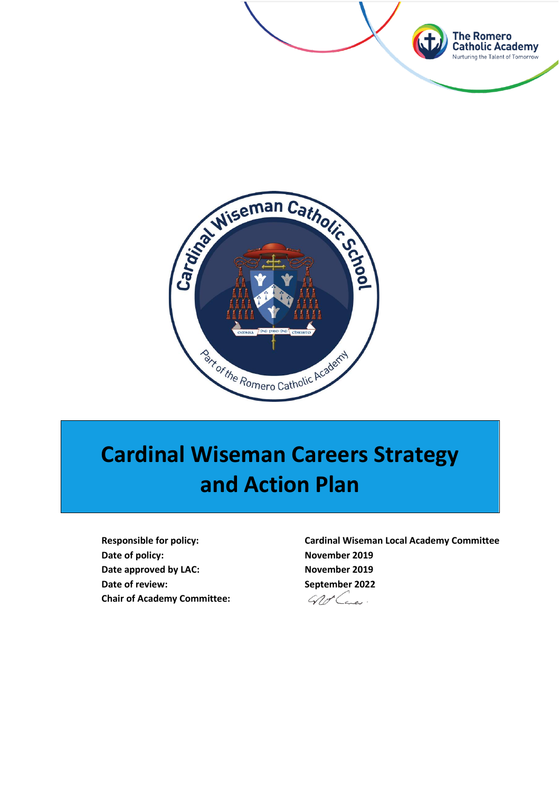



# **Cardinal Wiseman Careers Strategy and Action Plan**

**Date of policy:** November 2019 Date approved by LAC: November 2019 **Date of review:** September 2022 **Chair of Academy Committee:**

**Responsible for policy: Cardinal Wiseman Local Academy Committee**

Groce.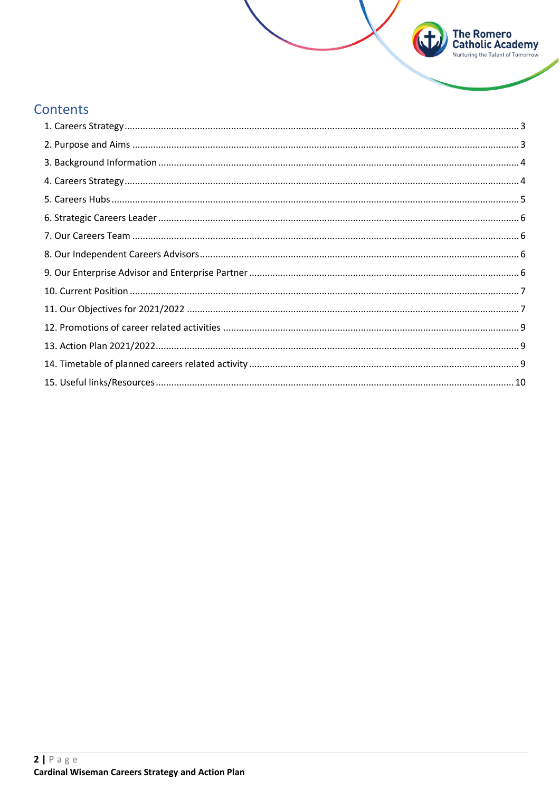## Contents

**The Romero<br>Catholic Academy**<br>Nurturing the Talent of Tomorrow

 $\mathbf{t}$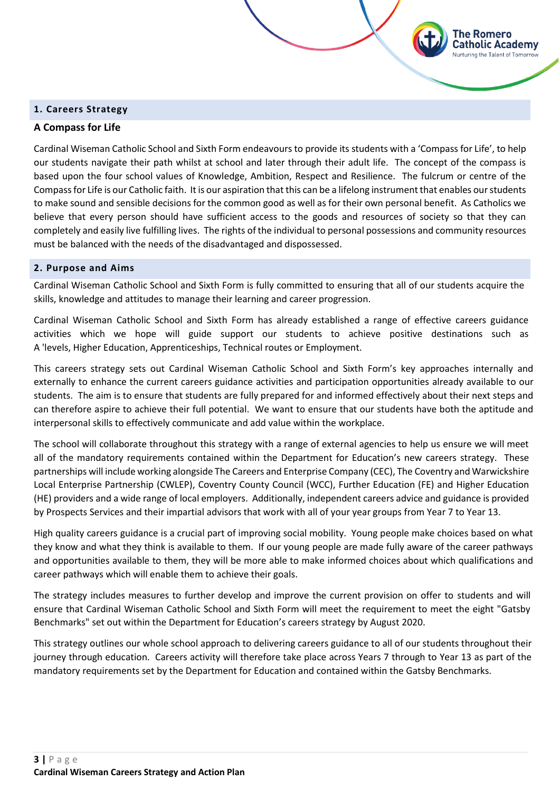#### <span id="page-2-0"></span>**1. Careers Strategy**

#### **A Compass for Life**

Cardinal Wiseman Catholic School and Sixth Form endeavours to provide its students with a 'Compass for Life', to help our students navigate their path whilst at school and later through their adult life. The concept of the compass is based upon the four school values of Knowledge, Ambition, Respect and Resilience. The fulcrum or centre of the Compass for Life is our Catholic faith. It is our aspiration that this can be a lifelong instrument that enables our students to make sound and sensible decisions for the common good as well as for their own personal benefit. As Catholics we believe that every person should have sufficient access to the goods and resources of society so that they can completely and easily live fulfilling lives. The rights of the individual to personal possessions and community resources must be balanced with the needs of the disadvantaged and dispossessed.

The Romero atholic Academy; **Jurturing the Talent of Tomorrow** 

#### <span id="page-2-1"></span>**2. Purpose and Aims**

Cardinal Wiseman Catholic School and Sixth Form is fully committed to ensuring that all of our students acquire the skills, knowledge and attitudes to manage their learning and career progression.

Cardinal Wiseman Catholic School and Sixth Form has already established a range of effective careers guidance activities which we hope will guide support our students to achieve positive destinations such as A 'levels, Higher Education, Apprenticeships, Technical routes or Employment.

This careers strategy sets out Cardinal Wiseman Catholic School and Sixth Form's key approaches internally and externally to enhance the current careers guidance activities and participation opportunities already available to our students. The aim is to ensure that students are fully prepared for and informed effectively about their next steps and can therefore aspire to achieve their full potential. We want to ensure that our students have both the aptitude and interpersonal skills to effectively communicate and add value within the workplace.

The school will collaborate throughout this strategy with a range of external agencies to help us ensure we will meet all of the mandatory requirements contained within the Department for Education's new careers strategy. These partnerships will include working alongside The Careers and Enterprise Company (CEC), The Coventry and Warwickshire Local Enterprise Partnership (CWLEP), Coventry County Council (WCC), Further Education (FE) and Higher Education (HE) providers and a wide range of local employers. Additionally, independent careers advice and guidance is provided by Prospects Services and their impartial advisors that work with all of your year groups from Year 7 to Year 13.

High quality careers guidance is a crucial part of improving social mobility. Young people make choices based on what they know and what they think is available to them. If our young people are made fully aware of the career pathways and opportunities available to them, they will be more able to make informed choices about which qualifications and career pathways which will enable them to achieve their goals.

The strategy includes measures to further develop and improve the current provision on offer to students and will ensure that Cardinal Wiseman Catholic School and Sixth Form will meet the requirement to meet the eight "Gatsby Benchmarks" set out within the Department for Education's careers strategy by August 2020.

This strategy outlines our whole school approach to delivering careers guidance to all of our students throughout their journey through education. Careers activity will therefore take place across Years 7 through to Year 13 as part of the mandatory requirements set by the Department for Education and contained within the Gatsby Benchmarks.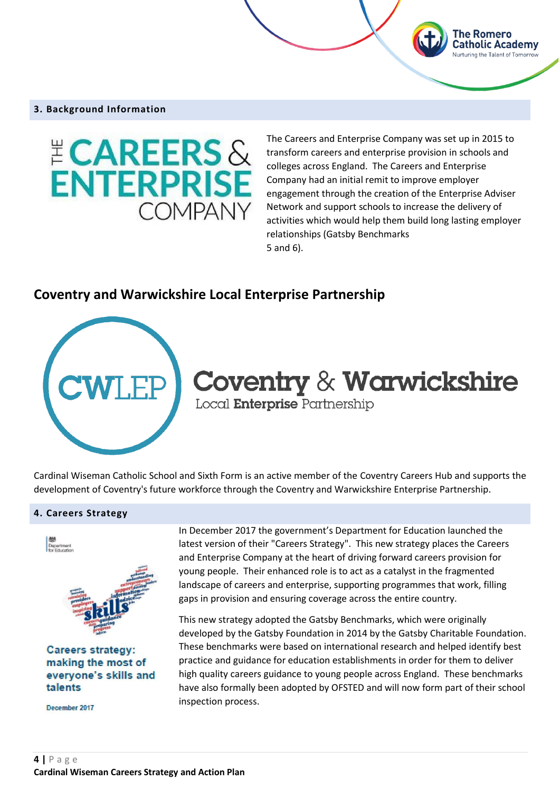#### <span id="page-3-0"></span>**3. Background Information**



The Careers and Enterprise Company was set up in 2015 to transform careers and enterprise provision in schools and colleges across England. The Careers and Enterprise Company had an initial remit to improve employer engagement through the creation of the Enterprise Adviser Network and support schools to increase the delivery of activities which would help them build long lasting employer relationships (Gatsby Benchmarks 5 and 6).

The Romero **Catholic Academy** 

### **Coventry and Warwickshire Local Enterprise Partnership**



# **Coventry & Warwickshire** Local **Enterprise** Partnership

Cardinal Wiseman Catholic School and Sixth Form is an active member of the Coventry Careers Hub and supports the development of Coventry's future workforce through the Coventry and Warwickshire Enterprise Partnership.

#### <span id="page-3-1"></span>**4. Careers Strategy**



**Careers strategy:** making the most of everyone's skills and talents

December 2017

In December 2017 the government's Department for Education launched the latest version of their "Careers Strategy". This new strategy places the Careers and Enterprise Company at the heart of driving forward careers provision for young people. Their enhanced role is to act as a catalyst in the fragmented landscape of careers and enterprise, supporting programmes that work, filling gaps in provision and ensuring coverage across the entire country.

This new strategy adopted the Gatsby Benchmarks, which were originally developed by the Gatsby Foundation in 2014 by the Gatsby Charitable Foundation. These benchmarks were based on international research and helped identify best practice and guidance for education establishments in order for them to deliver high quality careers guidance to young people across England. These benchmarks have also formally been adopted by OFSTED and will now form part of their school inspection process.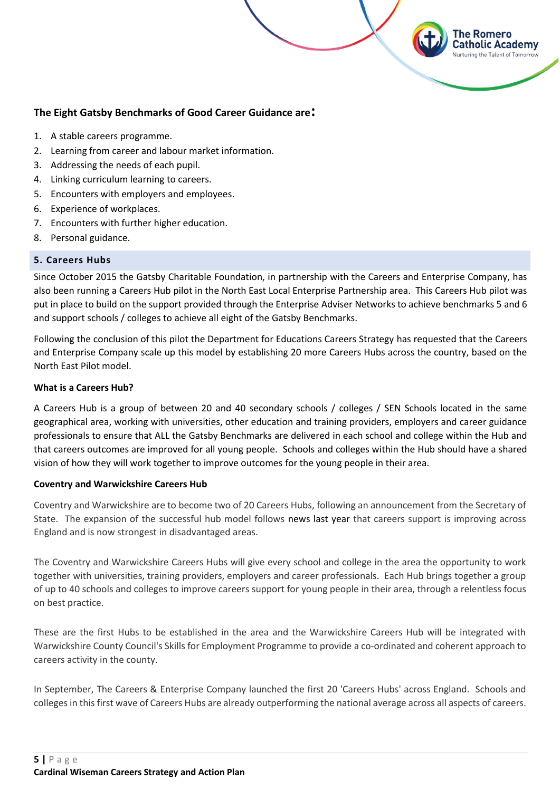#### **The Eight Gatsby Benchmarks of Good Career Guidance are:**

- 1. A stable careers programme.
- 2. Learning from career and labour market information.
- 3. Addressing the needs of each pupil.
- 4. Linking curriculum learning to careers.
- 5. Encounters with employers and employees.
- 6. Experience of workplaces.
- 7. Encounters with further higher education.
- 8. Personal guidance.

#### <span id="page-4-0"></span>**5. Careers Hubs**

Since October 2015 the Gatsby Charitable Foundation, in partnership with the Careers and Enterprise Company, has also been running a Careers Hub pilot in the North East Local Enterprise Partnership area. This Careers Hub pilot was put in place to build on the support provided through the Enterprise Adviser Networks to achieve benchmarks 5 and 6 and support schools / colleges to achieve all eight of the Gatsby Benchmarks.

The Romero

atholic Academy

Following the conclusion of this pilot the Department for Educations Careers Strategy has requested that the Careers and Enterprise Company scale up this model by establishing 20 more Careers Hubs across the country, based on the North East Pilot model.

#### **What is a Careers Hub?**

A Careers Hub is a group of between 20 and 40 secondary schools / colleges / SEN Schools located in the same geographical area, working with universities, other education and training providers, employers and career guidance professionals to ensure that ALL the Gatsby Benchmarks are delivered in each school and college within the Hub and that careers outcomes are improved for all young people. Schools and colleges within the Hub should have a shared vision of how they will work together to improve outcomes for the young people in their area.

#### **Coventry and Warwickshire Careers Hub**

Coventry and Warwickshire are to become two of 20 Careers Hubs, following an announcement from the Secretary of State. The expansion of the successful hub model follows [news last year](https://www.careersandenterprise.co.uk/news/careers-education-turning-corner-new-research-finds) that careers support is improving across England and is now strongest in disadvantaged areas.

The Coventry and Warwickshire Careers Hubs will give every school and college in the area the opportunity to work together with universities, training providers, employers and career professionals. Each Hub brings together a group of up to 40 schools and colleges to improve careers support for young people in their area, through a relentless focus on best practice.

These are the first Hubs to be established in the area and the Warwickshire Careers Hub will be integrated with Warwickshire County Council's Skills for Employment Programme to provide a co-ordinated and coherent approach to careers activity in the county.

In September, The Careers & Enterprise Company launched the first 20 'Careers Hubs' across England. Schools and colleges in this first wave of Careers Hubs are already outperforming the national average across all aspects of careers.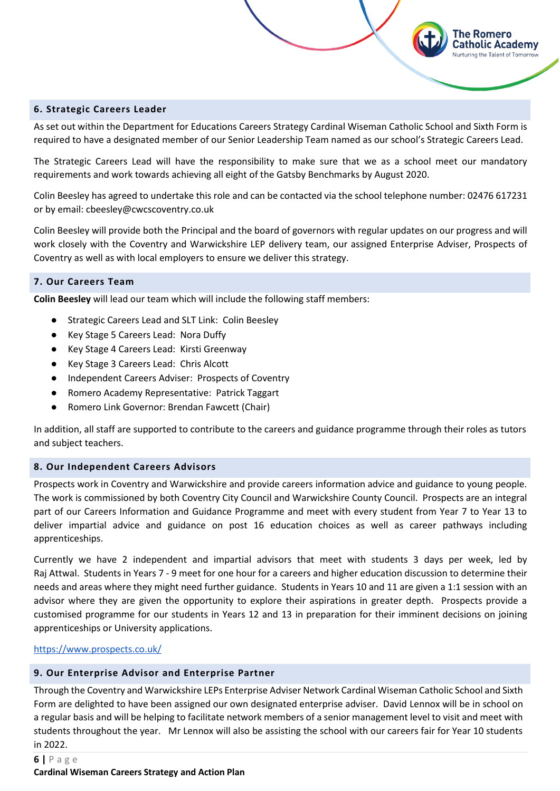#### <span id="page-5-0"></span>**6. Strategic Careers Leader**

As set out within the Department for Educations Careers Strategy Cardinal Wiseman Catholic School and Sixth Form is required to have a designated member of our Senior Leadership Team named as our school's Strategic Careers Lead.

The Romero Catholic Academy

The Strategic Careers Lead will have the responsibility to make sure that we as a school meet our mandatory requirements and work towards achieving all eight of the Gatsby Benchmarks by August 2020.

Colin Beesley has agreed to undertake this role and can be contacted via the school telephone number: 02476 617231 or by email: cbeesley@cwcscoventry.co.uk

Colin Beesley will provide both the Principal and the board of governors with regular updates on our progress and will work closely with the Coventry and Warwickshire LEP delivery team, our assigned Enterprise Adviser, Prospects of Coventry as well as with local employers to ensure we deliver this strategy.

#### <span id="page-5-1"></span>**7. Our Careers Team**

**Colin Beesley** will lead our team which will include the following staff members:

- Strategic Careers Lead and SLT Link: Colin Beesley
- Key Stage 5 Careers Lead: Nora Duffy
- Key Stage 4 Careers Lead: Kirsti Greenway
- Key Stage 3 Careers Lead: Chris Alcott
- Independent Careers Adviser: Prospects of Coventry
- Romero Academy Representative: Patrick Taggart
- Romero Link Governor: Brendan Fawcett (Chair)

In addition, all staff are supported to contribute to the careers and guidance programme through their roles as tutors and subject teachers.

#### <span id="page-5-2"></span>**8. Our Independent Careers Advisors**

Prospects work in Coventry and Warwickshire and provide careers information advice and guidance to young people. The work is commissioned by both Coventry City Council and Warwickshire County Council. Prospects are an integral part of our Careers Information and Guidance Programme and meet with every student from Year 7 to Year 13 to deliver impartial advice and guidance on post 16 education choices as well as career pathways including apprenticeships.

Currently we have 2 independent and impartial advisors that meet with students 3 days per week, led by Raj Attwal. Students in Years 7 - 9 meet for one hour for a careers and higher education discussion to determine their needs and areas where they might need further guidance. Students in Years 10 and 11 are given a 1:1 session with an advisor where they are given the opportunity to explore their aspirations in greater depth. Prospects provide a customised programme for our students in Years 12 and 13 in preparation for their imminent decisions on joining apprenticeships or University applications.

#### <https://www.prospects.co.uk/>

#### <span id="page-5-3"></span>**9. Our Enterprise Advisor and Enterprise Partner**

Through the Coventry and Warwickshire LEPs Enterprise Adviser Network Cardinal Wiseman Catholic School and Sixth Form are delighted to have been assigned our own designated enterprise adviser. David Lennox will be in school on a regular basis and will be helping to facilitate network members of a senior management level to visit and meet with students throughout the year. Mr Lennox will also be assisting the school with our careers fair for Year 10 students in 2022.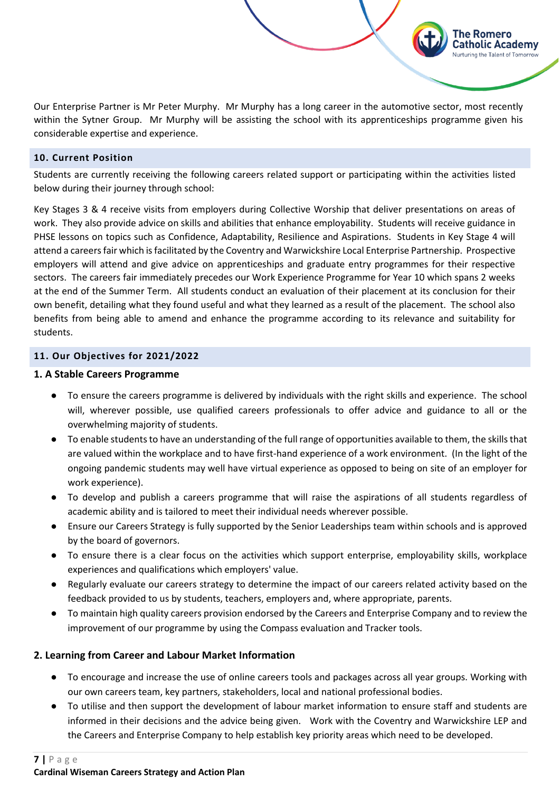Our Enterprise Partner is Mr Peter Murphy. Mr Murphy has a long career in the automotive sector, most recently within the Sytner Group. Mr Murphy will be assisting the school with its apprenticeships programme given his considerable expertise and experience.

The Romero Catholic Academy Nurturing the Talent of Tomorrow

#### <span id="page-6-0"></span>**10. Current Position**

Students are currently receiving the following careers related support or participating within the activities listed below during their journey through school:

Key Stages 3 & 4 receive visits from employers during Collective Worship that deliver presentations on areas of work. They also provide advice on skills and abilities that enhance employability. Students will receive guidance in PHSE lessons on topics such as Confidence, Adaptability, Resilience and Aspirations. Students in Key Stage 4 will attend a careers fair which is facilitated by the Coventry and Warwickshire Local Enterprise Partnership. Prospective employers will attend and give advice on apprenticeships and graduate entry programmes for their respective sectors. The careers fair immediately precedes our Work Experience Programme for Year 10 which spans 2 weeks at the end of the Summer Term. All students conduct an evaluation of their placement at its conclusion for their own benefit, detailing what they found useful and what they learned as a result of the placement. The school also benefits from being able to amend and enhance the programme according to its relevance and suitability for students.

#### <span id="page-6-1"></span>**11. Our Objectives for 2021/2022**

#### **1. A Stable Careers Programme**

- To ensure the careers programme is delivered by individuals with the right skills and experience. The school will, wherever possible, use qualified careers professionals to offer advice and guidance to all or the overwhelming majority of students.
- To enable students to have an understanding of the full range of opportunities available to them, the skills that are valued within the workplace and to have first-hand experience of a work environment. (In the light of the ongoing pandemic students may well have virtual experience as opposed to being on site of an employer for work experience).
- To develop and publish a careers programme that will raise the aspirations of all students regardless of academic ability and is tailored to meet their individual needs wherever possible.
- Ensure our Careers Strategy is fully supported by the Senior Leaderships team within schools and is approved by the board of governors.
- To ensure there is a clear focus on the activities which support enterprise, employability skills, workplace experiences and qualifications which employers' value.
- Regularly evaluate our careers strategy to determine the impact of our careers related activity based on the feedback provided to us by students, teachers, employers and, where appropriate, parents.
- To maintain high quality careers provision endorsed by the Careers and Enterprise Company and to review the improvement of our programme by using the Compass evaluation and Tracker tools.

#### **2. Learning from Career and Labour Market Information**

- To encourage and increase the use of online careers tools and packages across all year groups. Working with our own careers team, key partners, stakeholders, local and national professional bodies.
- To utilise and then support the development of labour market information to ensure staff and students are informed in their decisions and the advice being given. Work with the Coventry and Warwickshire LEP and the Careers and Enterprise Company to help establish key priority areas which need to be developed.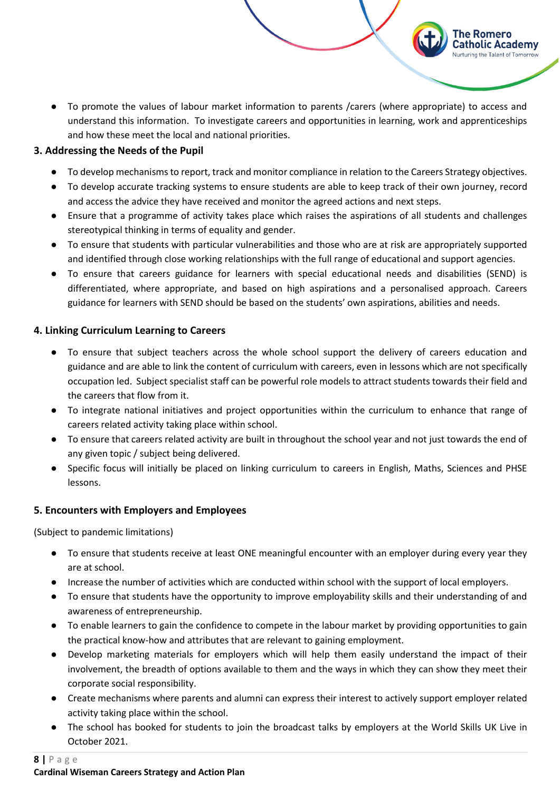● To promote the values of labour market information to parents /carers (where appropriate) to access and understand this information. To investigate careers and opportunities in learning, work and apprenticeships and how these meet the local and national priorities.

The Romero **Catholic Academy** Nurturing the Talent of Tomorrow

#### **3. Addressing the Needs of the Pupil**

- To develop mechanisms to report, track and monitor compliance in relation to the Careers Strategy objectives.
- To develop accurate tracking systems to ensure students are able to keep track of their own journey, record and access the advice they have received and monitor the agreed actions and next steps.
- Ensure that a programme of activity takes place which raises the aspirations of all students and challenges stereotypical thinking in terms of equality and gender.
- To ensure that students with particular vulnerabilities and those who are at risk are appropriately supported and identified through close working relationships with the full range of educational and support agencies.
- To ensure that careers guidance for learners with special educational needs and disabilities (SEND) is differentiated, where appropriate, and based on high aspirations and a personalised approach. Careers guidance for learners with SEND should be based on the students' own aspirations, abilities and needs.

#### **4. Linking Curriculum Learning to Careers**

- To ensure that subject teachers across the whole school support the delivery of careers education and guidance and are able to link the content of curriculum with careers, even in lessons which are not specifically occupation led. Subject specialist staff can be powerful role models to attract students towards their field and the careers that flow from it.
- To integrate national initiatives and project opportunities within the curriculum to enhance that range of careers related activity taking place within school.
- To ensure that careers related activity are built in throughout the school year and not just towards the end of any given topic / subject being delivered.
- Specific focus will initially be placed on linking curriculum to careers in English, Maths, Sciences and PHSE lessons.

#### **5. Encounters with Employers and Employees**

(Subject to pandemic limitations)

- To ensure that students receive at least ONE meaningful encounter with an employer during every year they are at school.
- Increase the number of activities which are conducted within school with the support of local employers.
- To ensure that students have the opportunity to improve employability skills and their understanding of and awareness of entrepreneurship.
- To enable learners to gain the confidence to compete in the labour market by providing opportunities to gain the practical know-how and attributes that are relevant to gaining employment.
- Develop marketing materials for employers which will help them easily understand the impact of their involvement, the breadth of options available to them and the ways in which they can show they meet their corporate social responsibility.
- Create mechanisms where parents and alumni can express their interest to actively support employer related activity taking place within the school.
- The school has booked for students to join the broadcast talks by employers at the World Skills UK Live in October 2021.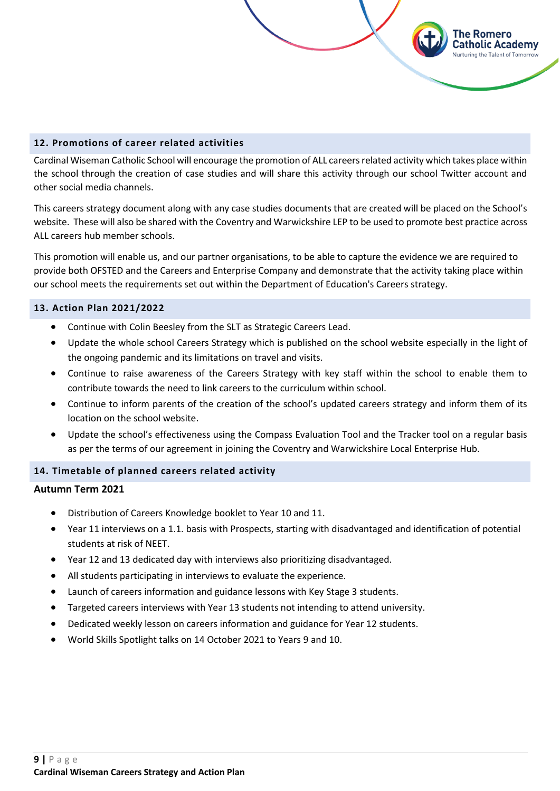#### <span id="page-8-0"></span>**12. Promotions of career related activities**

Cardinal Wiseman Catholic School will encourage the promotion of ALL careers related activity which takes place within the school through the creation of case studies and will share this activity through our school Twitter account and other social media channels.

The Romero Catholic Academy **Jurturing the Talent of Tomorrow** 

This careers strategy document along with any case studies documents that are created will be placed on the School's website. These will also be shared with the Coventry and Warwickshire LEP to be used to promote best practice across ALL careers hub member schools.

This promotion will enable us, and our partner organisations, to be able to capture the evidence we are required to provide both OFSTED and the Careers and Enterprise Company and demonstrate that the activity taking place within our school meets the requirements set out within the Department of Education's Careers strategy.

#### <span id="page-8-1"></span>**13. Action Plan 2021/2022**

- Continue with Colin Beesley from the SLT as Strategic Careers Lead.
- Update the whole school Careers Strategy which is published on the school website especially in the light of the ongoing pandemic and its limitations on travel and visits.
- Continue to raise awareness of the Careers Strategy with key staff within the school to enable them to contribute towards the need to link careers to the curriculum within school.
- Continue to inform parents of the creation of the school's updated careers strategy and inform them of its location on the school website.
- Update the school's effectiveness using the Compass Evaluation Tool and the Tracker tool on a regular basis as per the terms of our agreement in joining the Coventry and Warwickshire Local Enterprise Hub.

#### <span id="page-8-2"></span>**14. Timetable of planned careers related activity**

#### **Autumn Term 2021**

- Distribution of Careers Knowledge booklet to Year 10 and 11.
- Year 11 interviews on a 1.1. basis with Prospects, starting with disadvantaged and identification of potential students at risk of NEET.
- Year 12 and 13 dedicated day with interviews also prioritizing disadvantaged.
- All students participating in interviews to evaluate the experience.
- Launch of careers information and guidance lessons with Key Stage 3 students.
- Targeted careers interviews with Year 13 students not intending to attend university.
- Dedicated weekly lesson on careers information and guidance for Year 12 students.
- World Skills Spotlight talks on 14 October 2021 to Years 9 and 10.